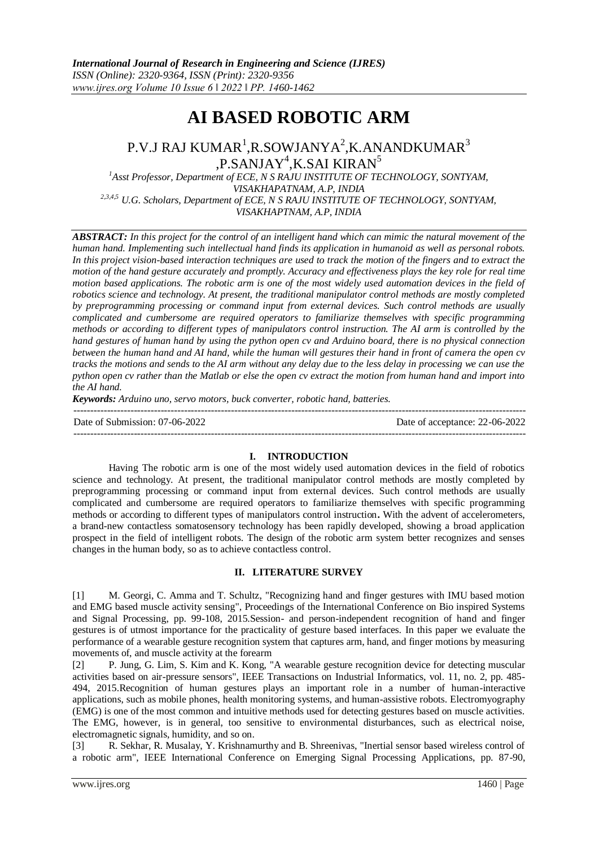# **AI BASED ROBOTIC ARM**

## P.V.J RAJ KUMAR<sup>1</sup>,R.SOWJANYA<sup>2</sup>,K.ANANDKUMAR<sup>3</sup> ,P.SANJAY<sup>4</sup>,K.SAI KIRAN<sup>5</sup>

<sup>1</sup>Asst Professor, Department of ECE, N S RAJU INSTITUTE OF TECHNOLOGY, SONTYAM, *VISAKHAPATNAM, A.P, INDIA 2,3,4,5 U.G. Scholars, Department of ECE, N S RAJU INSTITUTE OF TECHNOLOGY, SONTYAM, VISAKHAPTNAM, A.P, INDIA*

*ABSTRACT: In this project for the control of an intelligent hand which can mimic the natural movement of the human hand. Implementing such intellectual hand finds its application in humanoid as well as personal robots.*  In this project vision-based interaction techniques are used to track the motion of the fingers and to extract the *motion of the hand gesture accurately and promptly. Accuracy and effectiveness plays the key role for real time motion based applications. The robotic arm is one of the most widely used automation devices in the field of robotics science and technology. At present, the traditional manipulator control methods are mostly completed by preprogramming processing or command input from external devices. Such control methods are usually complicated and cumbersome are required operators to familiarize themselves with specific programming methods or according to different types of manipulators control instruction. The AI arm is controlled by the hand gestures of human hand by using the python open cv and Arduino board, there is no physical connection between the human hand and AI hand, while the human will gestures their hand in front of camera the open cv tracks the motions and sends to the AI arm without any delay due to the less delay in processing we can use the python open cv rather than the Matlab or else the open cv extract the motion from human hand and import into the AI hand.*

*Keywords: Arduino uno, servo motors, buck converter, robotic hand, batteries.*

| Date of Submission: 07-06-2022 | Date of acceptance: 22-06-2022 |
|--------------------------------|--------------------------------|
|                                |                                |

### **I. INTRODUCTION**

Having The robotic arm is one of the most widely used automation devices in the field of robotics science and technology. At present, the traditional manipulator control methods are mostly completed by preprogramming processing or command input from external devices. Such control methods are usually complicated and cumbersome are required operators to familiarize themselves with specific programming methods or according to different types of manipulators control instruction**.** With the advent of accelerometers, a brand-new contactless somatosensory technology has been rapidly developed, showing a broad application prospect in the field of intelligent robots. The design of the robotic arm system better recognizes and senses changes in the human body, so as to achieve contactless control.

#### **II. LITERATURE SURVEY**

[1] M. Georgi, C. Amma and T. Schultz, "Recognizing hand and finger gestures with IMU based motion and EMG based muscle activity sensing", Proceedings of the International Conference on Bio inspired Systems and Signal Processing, pp. 99-108, 2015.Session- and person-independent recognition of hand and finger gestures is of utmost importance for the practicality of gesture based interfaces. In this paper we evaluate the performance of a wearable gesture recognition system that captures arm, hand, and finger motions by measuring movements of, and muscle activity at the forearm

[2] P. Jung, G. Lim, S. Kim and K. Kong, "A wearable gesture recognition device for detecting muscular activities based on air-pressure sensors", IEEE Transactions on Industrial Informatics, vol. 11, no. 2, pp. 485- 494, 2015.Recognition of human gestures plays an important role in a number of human-interactive applications, such as mobile phones, health monitoring systems, and human-assistive robots. Electromyography (EMG) is one of the most common and intuitive methods used for detecting gestures based on muscle activities. The EMG, however, is in general, too sensitive to environmental disturbances, such as electrical noise, electromagnetic signals, humidity, and so on.

[3] R. Sekhar, R. Musalay, Y. Krishnamurthy and B. Shreenivas, "Inertial sensor based wireless control of a robotic arm", IEEE International Conference on Emerging Signal Processing Applications, pp. 87-90,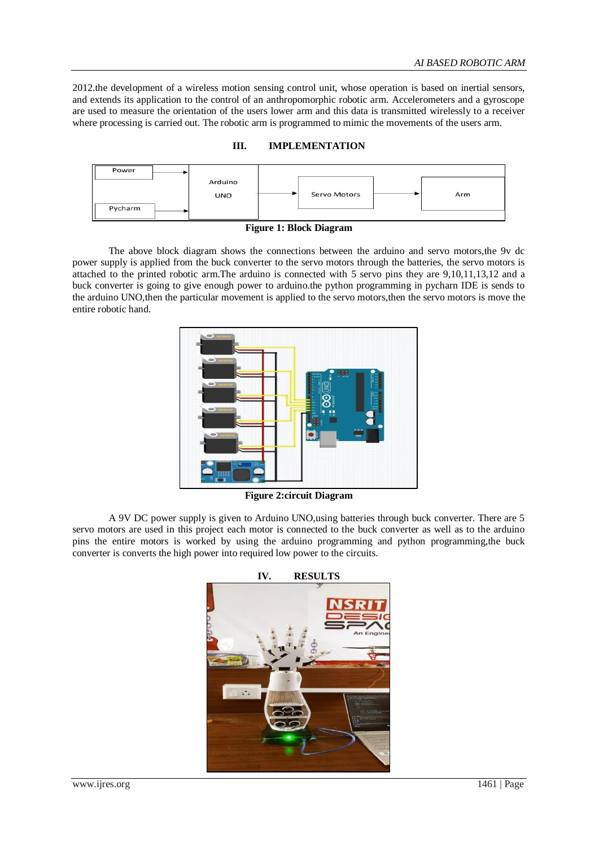2012.the development of a wireless motion sensing control unit, whose operation is based on inertial sensors, and extends its application to the control of an anthropomorphic robotic arm. Accelerometers and a gyroscope are used to measure the orientation of the users lower arm and this data is transmitted wirelessly to a receiver where processing is carried out. The robotic arm is programmed to mimic the movements of the users arm.

#### **III. IMPLEMENTATION**



**Figure 1: Block Diagram**

The above block diagram shows the connections between the arduino and servo motors,the 9v dc power supply is applied from the buck converter to the servo motors through the batteries, the servo motors is attached to the printed robotic arm.The arduino is connected with 5 servo pins they are 9,10,11,13,12 and a buck converter is going to give enough power to arduino.the python programming in pycharn IDE is sends to the arduino UNO,then the particular movement is applied to the servo motors,then the servo motors is move the entire robotic hand.



**Figure 2:circuit Diagram**

A 9V DC power supply is given to Arduino UNO,using batteries through buck converter. There are 5 servo motors are used in this project each motor is connected to the buck converter as well as to the arduino pins the entire motors is worked by using the arduino programming and python programming,the buck converter is converts the high power into required low power to the circuits.